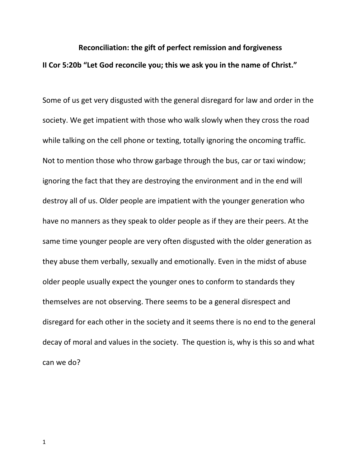## **Reconciliation: the gift of perfect remission and forgiveness II Cor 5:20b "Let God reconcile you; this we ask you in the name of Christ."**

Some of us get very disgusted with the general disregard for law and order in the society. We get impatient with those who walk slowly when they cross the road while talking on the cell phone or texting, totally ignoring the oncoming traffic. Not to mention those who throw garbage through the bus, car or taxi window; ignoring the fact that they are destroying the environment and in the end will destroy all of us. Older people are impatient with the younger generation who have no manners as they speak to older people as if they are their peers. At the same time younger people are very often disgusted with the older generation as they abuse them verbally, sexually and emotionally. Even in the midst of abuse older people usually expect the younger ones to conform to standards they themselves are not observing. There seems to be a general disrespect and disregard for each other in the society and it seems there is no end to the general decay of moral and values in the society. The question is, why is this so and what can we do?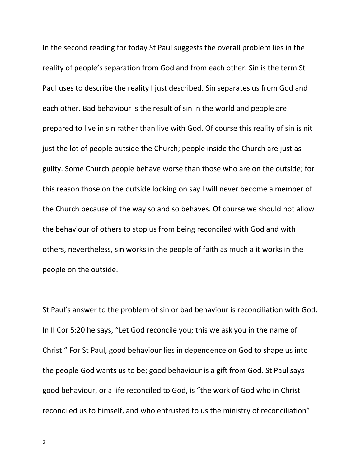In the second reading for today St Paul suggests the overall problem lies in the reality of people's separation from God and from each other. Sin is the term St Paul uses to describe the reality I just described. Sin separates us from God and each other. Bad behaviour is the result of sin in the world and people are prepared to live in sin rather than live with God. Of course this reality of sin is nit just the lot of people outside the Church; people inside the Church are just as guilty. Some Church people behave worse than those who are on the outside; for this reason those on the outside looking on say I will never become a member of the Church because of the way so and so behaves. Of course we should not allow the behaviour of others to stop us from being reconciled with God and with others, nevertheless, sin works in the people of faith as much a it works in the people on the outside.

St Paul's answer to the problem of sin or bad behaviour is reconciliation with God. In II Cor 5:20 he says, "Let God reconcile you; this we ask you in the name of Christ." For St Paul, good behaviour lies in dependence on God to shape us into the people God wants us to be; good behaviour is a gift from God. St Paul says good behaviour, or a life reconciled to God, is "the work of God who in Christ reconciled us to himself, and who entrusted to us the ministry of reconciliation"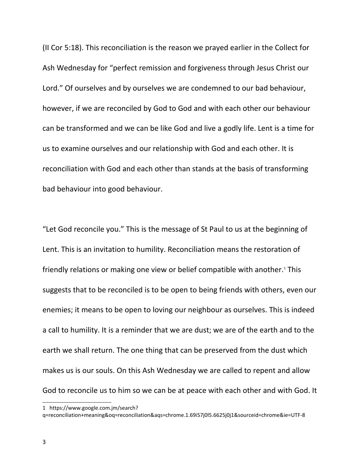(II Cor 5:18). This reconciliation is the reason we prayed earlier in the Collect for Ash Wednesday for "perfect remission and forgiveness through Jesus Christ our Lord." Of ourselves and by ourselves we are condemned to our bad behaviour, however, if we are reconciled by God to God and with each other our behaviour can be transformed and we can be like God and live a godly life. Lent is a time for us to examine ourselves and our relationship with God and each other. It is reconciliation with God and each other than stands at the basis of transforming bad behaviour into good behaviour.

"Let God reconcile you." This is the message of St Paul to us at the beginning of Lent. This is an invitation to humility. Reconciliation means the restoration of friendly relations or making one view or belief compatible with another.<sup>[1](#page-2-0)</sup> This suggests that to be reconciled is to be open to being friends with others, even our enemies; it means to be open to loving our neighbour as ourselves. This is indeed a call to humility. It is a reminder that we are dust; we are of the earth and to the earth we shall return. The one thing that can be preserved from the dust which makes us is our souls. On this Ash Wednesday we are called to repent and allow God to reconcile us to him so we can be at peace with each other and with God. It

<span id="page-2-0"></span><sup>1</sup> https://www.google.com.jm/search?

q=reconciliation+meaning&oq=reconciliation&aqs=chrome.1.69i57j0l5.6625j0j1&sourceid=chrome&ie=UTF-8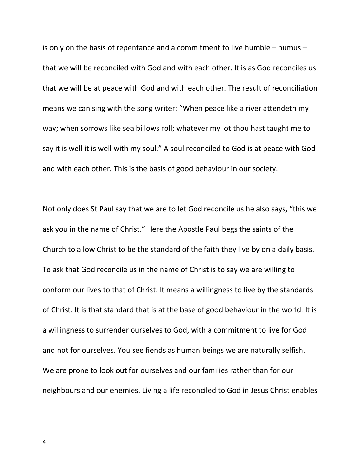is only on the basis of repentance and a commitment to live humble – humus – that we will be reconciled with God and with each other. It is as God reconciles us that we will be at peace with God and with each other. The result of reconciliation means we can sing with the song writer: "When peace like a river attendeth my way; when sorrows like sea billows roll; whatever my lot thou hast taught me to say it is well it is well with my soul." A soul reconciled to God is at peace with God and with each other. This is the basis of good behaviour in our society.

Not only does St Paul say that we are to let God reconcile us he also says, "this we ask you in the name of Christ." Here the Apostle Paul begs the saints of the Church to allow Christ to be the standard of the faith they live by on a daily basis. To ask that God reconcile us in the name of Christ is to say we are willing to conform our lives to that of Christ. It means a willingness to live by the standards of Christ. It is that standard that is at the base of good behaviour in the world. It is a willingness to surrender ourselves to God, with a commitment to live for God and not for ourselves. You see fiends as human beings we are naturally selfish. We are prone to look out for ourselves and our families rather than for our neighbours and our enemies. Living a life reconciled to God in Jesus Christ enables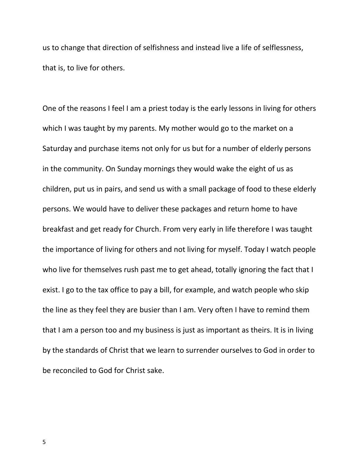us to change that direction of selfishness and instead live a life of selflessness, that is, to live for others.

One of the reasons I feel I am a priest today is the early lessons in living for others which I was taught by my parents. My mother would go to the market on a Saturday and purchase items not only for us but for a number of elderly persons in the community. On Sunday mornings they would wake the eight of us as children, put us in pairs, and send us with a small package of food to these elderly persons. We would have to deliver these packages and return home to have breakfast and get ready for Church. From very early in life therefore I was taught the importance of living for others and not living for myself. Today I watch people who live for themselves rush past me to get ahead, totally ignoring the fact that I exist. I go to the tax office to pay a bill, for example, and watch people who skip the line as they feel they are busier than I am. Very often I have to remind them that I am a person too and my business is just as important as theirs. It is in living by the standards of Christ that we learn to surrender ourselves to God in order to be reconciled to God for Christ sake.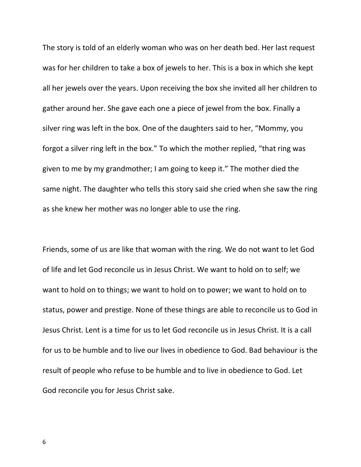The story is told of an elderly woman who was on her death bed. Her last request was for her children to take a box of jewels to her. This is a box in which she kept all her jewels over the years. Upon receiving the box she invited all her children to gather around her. She gave each one a piece of jewel from the box. Finally a silver ring was left in the box. One of the daughters said to her, "Mommy, you forgot a silver ring left in the box." To which the mother replied, "that ring was given to me by my grandmother; I am going to keep it." The mother died the same night. The daughter who tells this story said she cried when she saw the ring as she knew her mother was no longer able to use the ring.

Friends, some of us are like that woman with the ring. We do not want to let God of life and let God reconcile us in Jesus Christ. We want to hold on to self; we want to hold on to things; we want to hold on to power; we want to hold on to status, power and prestige. None of these things are able to reconcile us to God in Jesus Christ. Lent is a time for us to let God reconcile us in Jesus Christ. It is a call for us to be humble and to live our lives in obedience to God. Bad behaviour is the result of people who refuse to be humble and to live in obedience to God. Let God reconcile you for Jesus Christ sake.